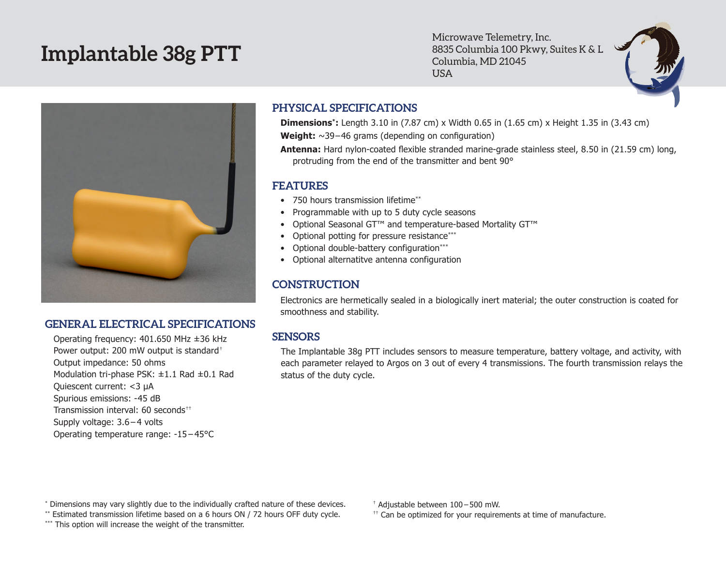# **Implantable 38g PTT**

Microwave Telemetry, Inc. 8835 Columbia 100 Pkwy, Suites K & L Columbia, MD 21045 USA





## **GENERAL ELECTRICAL SPECIFICATIONS**

Operating frequency: 401.650 MHz ±36 kHz Power output: 200 mW output is standard† Output impedance: 50 ohms Modulation tri-phase PSK: ±1.1 Rad ±0.1 Rad Quiescent current: <3 µA Spurious emissions: -45 dB Transmission interval: 60 seconds<sup>††</sup> Supply voltage: 3.6 – 4 volts Operating temperature range: -15 – 45°C

# **PHYSICAL SPECIFICATIONS**

**Dimensions\*:** Length 3.10 in (7.87 cm) x Width 0.65 in (1.65 cm) x Height 1.35 in (3.43 cm) Weight: ~39-46 grams (depending on configuration)

**Antenna:** Hard nylon-coated flexible stranded marine-grade stainless steel, 8.50 in (21.59 cm) long, protruding from the end of the transmitter and bent 90°

#### **FEATURES**

- 750 hours transmission lifetime\*\*
- Programmable with up to 5 duty cycle seasons
- • Optional Seasonal GT™ and temperature-based Mortality GT™
- Optional potting for pressure resistance\*\*\*
- Optional double-battery configuration\*\*\*
- • Optional alternatitve antenna configuration

# **CONSTRUCTION**

Electronics are hermetically sealed in a biologically inert material; the outer construction is coated for smoothness and stability.

## **SENSORS**

The Implantable 38g PTT includes sensors to measure temperature, battery voltage, and activity, with each parameter relayed to Argos on 3 out of every 4 transmissions. The fourth transmission relays the status of the duty cycle.

\* Dimensions may vary slightly due to the individually crafted nature of these devices.

\*\* Estimated transmission lifetime based on a 6 hours ON / 72 hours OFF duty cycle.

\*\*\* This option will increase the weight of the transmitter.

† Adjustable between 100 – 500 mW.

 $<sup>††</sup>$  Can be optimized for your requirements at time of manufacture.</sup>